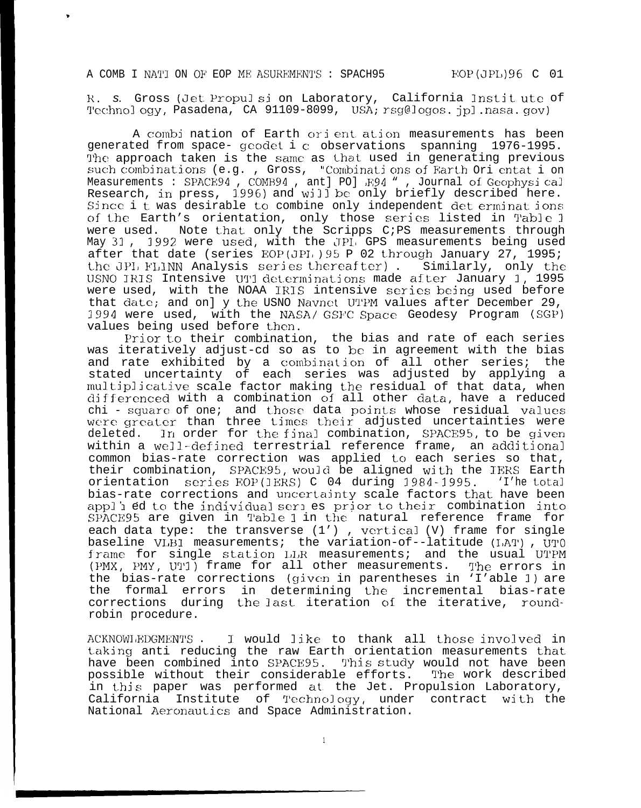.

R. S. Gross (Jet Propul si on Laboratory, California Instit ute of Technol ogy, Pasadena, CA 91109-8099, USA; rsg@logos. jpl.nasa.gov)

A combi nation of Earth ori ent ation measurements has been generated from space- geodet i c observations spanning 1976-1995. The approach taken is the same as that used in generating previous such combinations (e.g., Gross, "Combinations of Farth Ori entat i on. Measurements : SPACE94, COMB94, ant] PO] R94 ", Journal of Geophysical Research, in press, 1996) and will be only briefly described here. Since i t was desirable to combine only independent det erminat ions of the Earth's orientation, only those series listed in Table <sup>1</sup> were used. Note that only the Scripps C;PS measurements through May 31, 1992 were used, with the JPI, GPS measurements being used after that date (series EOP(JPI,  $95 P 02$  through January 27, 1995; the JPI, FLINN Analysis series thereafter). Similarly, only the USNO IRIS Intensive UT1 determinations made after January 1, 1995 were used, with the NOAA IRIS intensive series being used before that date; and on] y the USNO Navnet UTPM values after December 29, 1994 were used, with the NASA/ GSFC Space Geodesy Program (SGP) values being used before then.

Prior to their combination, the bias and rate of each series was iteratively adjust-cd so as to be in agreement with the bias and rate exhibited by a combination of all other series; the stated uncertainty of each series was adjusted by applying a multiplicative scale factor making the residual of that data, when differenced with a combination of all other data, have a reduced chi - square of one; and those data points whose residual values were greater than three times their adjusted uncertainties were deleted. In order for the final combination, SPACE95, to be given within a well-defined terrestrial reference frame, an additional common bias-rate correction was applied to each series so that, their combination, SPACE95, would be aligned with the IERS Earth orientation series HOP(IERS) C 04 during 1984-1995. 'I'he total bias-rate corrections and uncertainty scale factors that have been appl i ed to the individual seri es prior to their combination into SPACE95 are given in Table 1 in the natural reference frame for each data type: the transverse  $(1')$  , vertical  $(V)$  frame for single baseline VLB1 measurements; the variation-of--latitude (IAT), UTO frame for single station LLR measurements; and the usual UTPM (PMX, PMY, UTI) frame for all other measurements. The errors in the bias-rate corrections (given in parentheses in 'I'able 1) are the formal errors in determining the incremental bias-rate corrections during the last iteration of the iterative, roundrobin procedure.

ACKNOWI/EDGMENTS . I would like to thank all those involved in taking anti reducing the raw Earth orientation measurements that have been combined into SPACE95. This study would not have been<br>possible without their considerable efforts. The work described possible without their considerable efforts. in this paper was performed at the Jet. Propulsion Laboratory, California Institute of TechnoJogy, under contract with the National Aeronautics and Space Administration.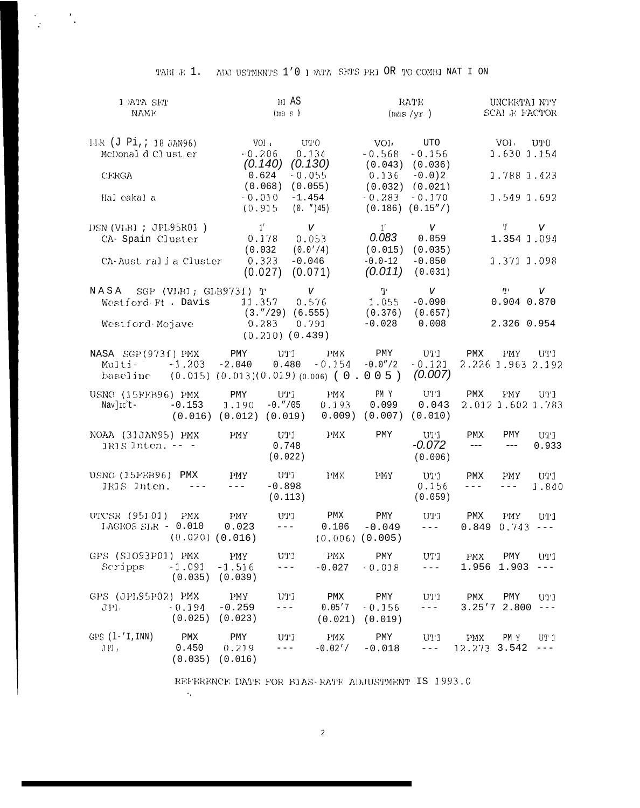| ADJ USTMENTS 1'0 I DATA SETS PRI OR TO COMBI NAT I ON<br>таві в 1. |  |  |  |  |  |  |  |  |  |  |  |
|--------------------------------------------------------------------|--|--|--|--|--|--|--|--|--|--|--|
|--------------------------------------------------------------------|--|--|--|--|--|--|--|--|--|--|--|

 $\frac{1}{\sqrt{2}}\left(\frac{1}{\sqrt{2}}\right)^{2}=\frac{1}{2}\left(\frac{1}{\sqrt{2}}\right)^{2}$ 

| I MTA SET<br>NAMF:                                                    |                     | BI AS<br>(ma s)                               |                                                            |                                                                          | RATE<br>(max/yr)                                 | UNCERTAI NTY<br>SCAI F FACTOR                                                                                  |                            |                                                      |                    |  |  |
|-----------------------------------------------------------------------|---------------------|-----------------------------------------------|------------------------------------------------------------|--------------------------------------------------------------------------|--------------------------------------------------|----------------------------------------------------------------------------------------------------------------|----------------------------|------------------------------------------------------|--------------------|--|--|
| LLR (J Pi, ; 18 JAN96)<br>McDonal d Cl ust er<br>CERGA<br>Hal eakal a |                     | $-0.206$<br>0.624<br>$-0.010$<br>(0.915       | VOI 1<br>UTO<br>(0.140)<br>$-0.055$<br>(0.068)<br>$-1.454$ | 0.134<br>(0.130)<br>(0.055)<br>(0. ") 45)                                | VOI.<br>$-0.568$<br>0.136<br>$-0.283$            | UTO<br>$-0.156$<br>$(0.043)$ $(0.036)$<br>$-0.0$ ) 2<br>$(0.032)$ $(0.021)$<br>$-0.170$<br>$(0.186)$ $(0.15")$ |                            | VOI UTO<br>1.630 1.154<br>1.788 1.423<br>1.549 1.692 |                    |  |  |
| DSN (VIBI ; JPL95R01)<br>CA- Spain Cluster<br>CA-Australia Cluster    |                     | 1'<br>(0.032)                                 | 0.178<br>0.323<br>$-0.046$<br>(0.027)                      | $\mathsf{V}$<br>0.053<br>(0.0'/4)<br>(0.071)                             | 1'<br>0.083<br>(0.015)<br>$-0.0 - 12$<br>(0.011) | V<br>0.059<br>(0.035)<br>$-0.050$<br>(0.031)                                                                   |                            | $\mathcal{L}$<br>1.354 1.094<br>1.371 1.098          | V                  |  |  |
| NASA<br>Westford-Ft. Davis<br>Westford-Mojave                         |                     | SGP (VLBI; GLB973f) T<br>11.357               | $(3.″/29)$ $(6.555)$<br>0.283<br>$(0.210)$ $(0.439)$       | V<br>0.576<br>0.791                                                      | ΤL<br>1.055<br>(0.376)<br>$-0.028$               | $\mathsf{V}$<br>$-0.090$<br>(0.657)<br>0.008                                                                   |                            | T.<br>0.904 0.870<br>2.326 0.954                     | V                  |  |  |
| NASA SGP(973f) PMX<br>$MulLi$ -<br>baseline                           | $-1.203$            | PMY<br>$-2.040$                               | UT 1<br>0.480                                              | <b>PMX</b><br>$-0.154$<br>$(0.015)$ $(0.013)(0.019)$ $(0.006)$ $(0.005)$ | PMY<br>$-0.0''/2$                                | UT1<br>$-0.121$<br>(0.007)                                                                                     | PMX                        | PMY<br>2.226 1.963 2.192                             | UT 1               |  |  |
| USNO (15FEB96) PMX<br>Nav]Ic't-                                       | $-0.153$            | PMY<br>1.190<br>$(0.016)$ $(0.012)$ $(0.019)$ | UT1<br>$-0.''/05$                                          | <b>PMX</b><br>0.193<br>0.009)                                            | PM Y<br>0.099<br>(0.007)                         | UT1<br>0.043<br>(0.010)                                                                                        | PMX                        | <b>FMY</b><br>2.012 1.602 1.783                      | UT1                |  |  |
| NOAA (31JAN95) PMX<br>$1RIS$ Jnten. $--$                              |                     | <b>PMY</b>                                    | U11<br>0.748<br>(0.022)                                    | <b>FMX</b>                                                               | PMY                                              | UT 1<br>$-0.072$<br>(0.006)                                                                                    | PMX<br>---                 | PMY<br>$---$                                         | UT1<br>0.933       |  |  |
| USNO (15FEB96)<br>IRIS Inten.                                         | PMX                 | <b>PMY</b><br>$---$                           | UT 1<br>$-0.898$<br>(0.113)                                | <b>PMX</b>                                                               | PMY                                              | נינט<br>0.156<br>(0.059)                                                                                       | PMX<br>$---$               | PMY<br>$---$                                         | UT1<br>1.840       |  |  |
| UTCSR (951.01)<br>LAGEOS SLR $-$ 0.010                                | PMX.                | <b>PMY</b><br>0.023<br>$(0.020)$ $(0.016)$    | UT1<br>$- - -$                                             | PMX<br>0.106                                                             | PMY<br>$-0.049$<br>$(0.006)$ $(0.005)$           | ניניט<br>$- - -$                                                                                               | PMX<br>0.849               | <b>PMY</b><br>0.743                                  | UT 1<br>$--\,$ $-$ |  |  |
| GPS (S1093P01) PMX<br>Scripps                                         | $-1.091$<br>(0.035) | PMY<br>$-1.516$<br>(0.039)                    | U11<br>$---$                                               | <b>PMX</b><br>$-0.027$                                                   | PMY<br>$-0.018$                                  | UT1<br>$---$                                                                                                   | <b>PMX</b><br>1.956        | PMY<br>1.903                                         | UT1<br>$--\,$ $-$  |  |  |
| GPS (JPL95P02) PMX<br>JPI.                                            | $-0.194$<br>(0.025) | <b>PMY</b><br>$-0.259$<br>(0.023)             | ניניט<br>$---$                                             | PMX<br>0.05'7<br>(0.021)                                                 | PMY<br>$-0.156$<br>(0.019)                       | $U$ <sup><math>T</math></sup> $1$<br>$---$                                                                     | PMX                        | PMY<br>3.25'72.800                                   | UT1<br>$--\,$      |  |  |
| $GPS (l-'I, INN)$<br>JPL,                                             | PMX<br>0.450        | PMY<br>0.219<br>$(0.035)$ $(0.016)$           | UT1<br>$- - - \,$                                          | <b>LNX</b><br>$-0.02'$ /                                                 | PMY<br>$-0.018$                                  | U11<br>$---$                                                                                                   | <b>PMX</b><br>12.273 3.542 | PM Y                                                 | UT 1<br>$---$      |  |  |

REFERENCE DATE FOR BIAS-RATE ADJUSTMENT IS 1993.0

 $\mathcal{A}_\mu$ 

 $\overline{2}$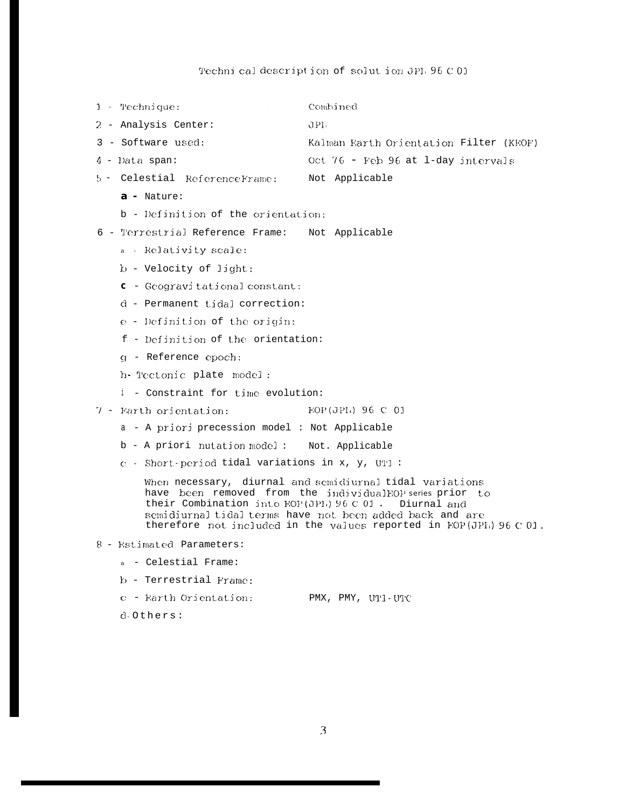## Technical description of solution JPL 96 C 01

Combined  $1 - \text{Technique:}$ 2 - Analysis Center:  $JPI.$ 3 - Software used: Kalman Earth Orientation Filter (KEOF) Oct 76 - Feb 96 at 1-day intervals 4 - Data span: 5 - Celestial ReferenceFrame: Not Applicable a - Nature: b - Definition of the orientation: 6 - Terrestrial Reference Frame: Not Applicable a - Relativity scale:  $b$  - Velocity of light:  $c$  - Geogravi tational constant:  $d$  - Permanent tidal correction:  $e$  - Definition of the origin: f - Definition of the orientation: q - Reference epoch: h- Tectonic plate model: i - Constraint for time evolution: 7 - Earth orientation: **EOP**(JPL) 96 C 01 a - A priori precession model : Not Applicable b - A priori nutation model: Not. Applicable c - Short-period tidal variations in x, y, UT1 : When necessary, diurnal and semidiurnal tidal variations have been removed from the individualEOP series prior to their Combination into EOP(JPL) 96 C 01. Diurnal and semidiurnal tidal terms have not been added back and are therefore not included in the values reported in FOP(JPI) 96 C 01. 8 - Estimated Parameters: a - Celestial Frame: b - Terrestrial Frame: c - Earth Orientation: PMX, PMY, UT1-UTC d.Others: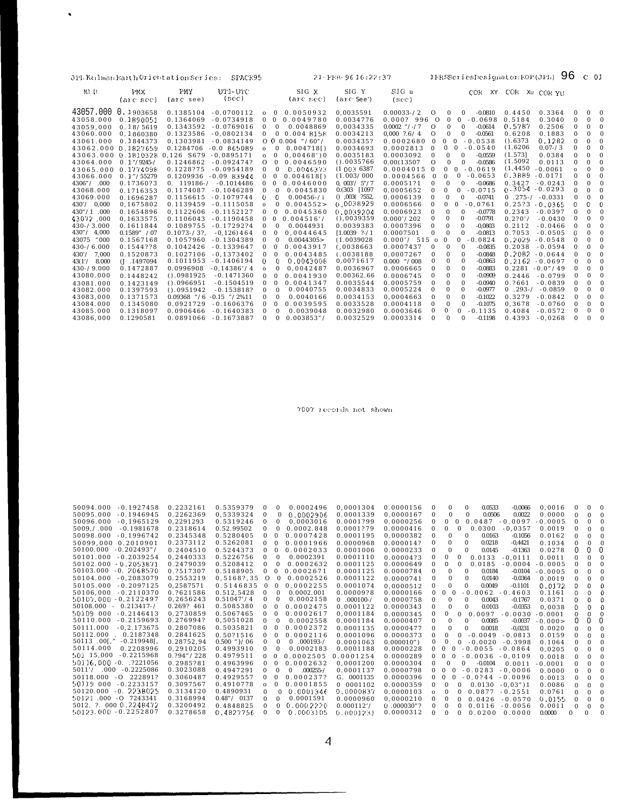|                     |                | JPL Kalman Earth Orientation Series: | SPACE95                   |                              |                            | $21 - FEB - 9616:22:37$ |                        |              | IERSSeriesDesignator:EOP(JPL)             |                      |             | 96           | $C$ 01   |              |
|---------------------|----------------|--------------------------------------|---------------------------|------------------------------|----------------------------|-------------------------|------------------------|--------------|-------------------------------------------|----------------------|-------------|--------------|----------|--------------|
| $MJ$ $D$            | <b>PMX</b>     | PMY                                  | UP1-UTC                   |                              | SIG X                      | SIG Y                   | SIG u                  |              |                                           | COR XY COR Xu COR YU |             |              |          |              |
|                     | (are sec)      | (arc see)                            | (sec)                     |                              | (arc sec)                  | (arc See)               | $(\sec)$               |              |                                           |                      |             |              |          |              |
| 43057.000           | 0.1903658      | 0.1385104                            | $-0.0700112$              | $\bf{0}$<br>$\mathbf{o}$     | 0.0050932                  | 0.0035591               | $0.00033 - 2$          | $\circ$      | $-0.0810$<br>0<br>$\bf{0}$                | 0.4450               | 0.3364      | $\bf{0}$     | 0        | $\bf{0}$     |
| 43058.000           | 0.1890051      | 0.1364069                            | $-0.0734918$              | $\mathbf{0}$<br>$\mathbf{0}$ | 0.0049780                  | 0.0034776               | 0.000?996              | $\Omega$     | $-0.0698$<br>$\mathbf{0}$<br>$\mathbf{0}$ | 0.5184               | 0.3040      | $\theta$     | $\bf{0}$ | $\Omega$     |
| 43059.000           | 0.18/5619      | 0.1343592                            | $-0.0769016$              | $\bf{0}$                     | $\bf{0}$<br>0.0048869      | 0.0034335               | $0.0002$ "/-/7         | $\circ$      | $-0.0614$<br>$\bf{0}$<br>$\mathbf{0}$     | 0.5787               | 0.2506      | $\theta$     | 0        | $\bf{0}$     |
| 43060.000           | 0.1860380      | 0.1323586                            | $-0.0802134$              | $\bf{0}$                     | 0.004 8158<br>$\bf{0}$     | 0.0034213               | $0.000$ $7.6 / 4$      | $\circ$      | $\Omega$<br>$\mathbf{0}$<br>$-0.0561$     | 0.6208               | 0.1883      | $\theta$     | $\bf{0}$ |              |
| 43061.000           | 0.1844373      | 0.1303981                            | $-0.0834149$              |                              | $O$ 0 0.004 "/60"/         | 0.003435?               | 0.0002680              | $\mathbf{0}$ | $-0.0538$<br>$\mathbf{0}$<br>$\mathbf{0}$ | $()$ .6373           | 0.1282      | $\theta$     | $\bf{0}$ | $\mathbf{0}$ |
| 43062.000           | 0.1827659      | 0.1284706                            | $-0.0$ 865089             | $\mathbf{o}$                 | 0.004718<br>$\mathbf{0}$   | 0.0034693               | 0.0002813              | $\bf{0}$     | $\mathbf{0}$<br>$\mathbf{0}$<br>$-0.0540$ | (1.6206)             | $0.07 - 73$ | $\Omega$     | $\Omega$ |              |
| 43063.000           |                | 0.1810328 0.126 5679                 | $-0.0895171$              | $\mathbf{o}$                 | $0.00468'$ ) 0<br>$\bf{0}$ | 0.0035183               | 0.0003092              | $\bf{0}$     | $\bf{0}$<br>$\bf{0}$<br>$-0.0559$         | (1.573]              | 0.0384      | $\theta$     | $\bf{0}$ | $\mathbf{0}$ |
| 43064.000           | $0.1$ "/9245-/ | 0.1246862                            | $-0.092474?$              | $\circ$                      | 0.0046590<br>$\mathbf{0}$  | $()$ .0035766           | 0.00(13507             | $\circ$      | $-0.0586$<br>$\mathbf{0}$<br>$\mathbf{0}$ | (1.5092)             | 0.0113      | $\Omega$     | $\bf{0}$ | $\Omega$     |
| 43065.000           | 0.1774098      | 0.1228775                            | $-0.0954189$              | $\bf{0}$                     | $\mathbf{0}$<br>0.0046373  | (10036387)              | 0.0004015              | $\mathbf{0}$ | $-0.0619$<br>$\bf{0}$<br>$\mathbf{0}$     | (1, 4450)            | $-0.0061$   |              | 0        |              |
| 43066.000           | $0.1$ "/55279  | 0.1209936                            | $-0.0983944$              | $\bf{0}$<br>$\bf{0}$         | 0.004618                   | (1.003/000)             | 0.0004566              | $\mathbf{0}$ | $\mathbf{0}$<br>$\bf{0}$<br>$-0.0653$     | 0.3889               | $-0.0171$   | $\Omega$     | $\bf{0}$ | $\Omega$     |
| 4306" / 000         | 0.17360?3      | $0.119186 - /$                       | $-0.1014486$              | $\bf{0}$<br>$\bf{0}$         | 0.0046000                  | 0, 003' / 5'' / 7       | 0.00051?1              | $\bf{0}$     | $\bf{0}$<br>$\bf{0}$<br>$-0.0686$         | 0.3427               | $-0.0243$   | $\theta$     | $\bf{0}$ |              |
| 43068.000           | 0.1716353      | 0.1174087                            | $-0.1046289$              | $\bf{0}$                     | 0.0045830<br>0             | $0.(303)$ [1097         | 0.0005652              |              | $-0.0715$<br>$\bf{0}$<br>$\bf{0}$         | 0.3054               | $-0.0293$   |              |          |              |
| 43069.000           | 0.1696287      | 0.1156615                            | $-0.1079744$              | 0                            | 0<br>$0.00456 - 1$         | $()$ $,003($ $7552,$    | 0.0006139              | $\mathbf{0}$ | $\bf{0}$<br>$\mathbf{0}$<br>$-0.0741$     | $0.275 - / -0.0331$  |             |              | $\bf{0}$ |              |
| 0.000<br>430' /     | 0.1675802      | 0.1139459                            | $-0.1115058$              | $\mathbf 0$                  | 0.004552                   | 0.0038929               | 0.0006566              | $\Omega$     | $\bf{0}$<br>$\bf{0}$<br>$-0.0761$         | 0.2573               | $-0.0365$   |              | 0        |              |
| $430''/1$ .000      | 0.1654896      | 0.1122606                            | $-0.1152127$              | $\mathbf{0}$                 | 0.0045360<br>$\bf{0}$      | 0.0039204               | 0.0006923              | $\mathbf{0}$ | $\mathbf{0}$<br>$-0.0778$<br>$\bf{0}$     | 0.2343               | $-0.0397$   | $\theta$     | 0        |              |
| 43072.000           | 0.1633575      | 0.1106043                            | $-0.1190458$              | $\bf{0}$<br>$\bf{0}$         | 0.004516'/                 | ( ) 0 0 3 9 3 5 9       | 0.000'/202             | $\bf{0}$     | $-0.0791$<br>$\bf{0}$<br>$\mathbf{0}$     | 0.270'               | $-0.0430$   | $\theta$     | 0        |              |
| $430 - 73.000$      | 0.1611844      | 0.1089755                            | $-0.1729274$              | $\bf{0}$                     | $\bf{0}$<br>0.0044931      | 0.0039383               | 0.0007396              | $\mathbf{0}$ | $-0.0803$<br>$\bf{0}$<br>$\mathbf{0}$     | 0.2112               | $-0.0466$   | $\theta$     | 0        |              |
| $430\degree/$ 4.000 | 0.1589" / 07   | $0.1073 - 3.2$                       | $-0.126$ ) 464            | $\bf{0}$                     | $\mathbf{0}$<br>0.0044645  | $1.0039$ $? - / 1$      | 0.0007501              | $\mathbf{0}$ | $-0.0813$<br>$\Omega$<br>$\bf{0}$         | 0.7053               | $-0.0505$   | O            | $\bf{0}$ |              |
| 43075<br>"000       | 0.1567168      | 0.1057960                            | $-0.1304389$              | $\bf{0}$                     | 0.0044305<br>$\mathbf{0}$  | (1.0039028              | 0.000'/515             | $\mathbf{o}$ | $\mathbf{0}$<br>$\mathbf{0}$<br>$-0.0824$ | 0.2029               | $-0.0548$   | $\theta$     | $\bf{0}$ |              |
| $430 - 6.000$       | 0.1544778      | 0.1042426                            | $-0.1339647$              | $\bf{0}$                     | $\bf{0}$<br>0.0043917      | (0.038663)              | 0.0007437              | $\bf{0}$     | $-0.0835$<br>$\bf{0}$<br>$\mathbf{0}$     | 0.2038               | $-0.0594$   | $\theta$     | $\bf{0}$ |              |
| 430' /<br>7,000     | 0.1520873      | 0.1027106                            | $-0.1373402$              | $\bf{0}$                     | 0.0043485<br>$\bf{0}$      | (0.038188)              | 0.0007267              | $\bf{0}$     | $-0.0848$<br>$\bf{0}$                     | 0.2082               | $-0.0644$   |              | $\bf{0}$ |              |
| 43(1'/8.000)        | $(J$ .1497094  | 0.1011953                            | $-0.1406194$              | $\overline{0}$               | 0<br>0.0043008             | 0.0071617               | $0.000$ $\degree$ /008 | $\bf{0}$     | $-0.0863$<br>$\bf{0}$<br>$\mathbf{0}$     | 0.2162               | $-0.0697$   | $\mathbf{0}$ | $\Omega$ |              |
| $430 - 79.000$      | 0.1472887      | 0.0996908                            | $-0.14386'/4$             | $\mathbf 0$                  | 0.0042487<br>$\bf{0}$      | 0.0036967               | 0.0006665              | $\bf{0}$     | $\bf{0}$<br>$-0.0883$<br>$\Omega$         | 0.2281               | $-0.07/49$  |              | $\bf{0}$ |              |
| 43080.000           | 0.1448242      | $()$ .0981925                        | $-0.1471360$              | $\bf{0}$                     | 0.0041930<br>$\mathbf{0}$  | 0.00362.66              | 0.0006745              |              | $-0.0909$<br>$\mathbf{0}$<br>$\Omega$     | 0.2446               | $-0.0799$   |              | $\Omega$ |              |
| 43081.000           | 0.1423149      | (1.0966951                           | $-0.1504519$              | $\bf{0}$                     | 0.0041347<br>$\mathbf{0}$  | 0.0035544               | 0.0005759              | $\mathbf{0}$ | $\bf{0}$<br>$-0.0940$                     | 0.7661               | $-0.0839$   |              | $\bf{0}$ |              |
| 43082.000           | 0.1397593      | $()$ .0951942                        | $-0.153818?$              | $\bf{0}$                     | 0.0040755<br>$\bf{0}$      | 0.0034833               | 0.0005224              | $\bf{0}$     | $\mathbf{0}$<br>$\bf{0}$<br>$-0.0977$     | $0.293 - /$          | $-0.0859$   |              | $\bf{0}$ |              |
| 43083,000           | 0.1371573      | $0.09368$ "/6                        | $-0.15$ $\frac{7}{2}\%11$ | $\bf{0}$                     | $\bf{0}$<br>0.0040166      | 0.0034153               | 0.0004663              |              | $-0.1022$<br>$\bf{0}$                     | 0.3279               | $-0.0842$   | $\Omega$     | $\bf{0}$ |              |
| 43084.000           | 0.1345080      | 0.0921729                            | $-0.1606376$              | $\bf{0}$                     | 0.0039595<br>$\mathbf{0}$  | 0.0033528               | 0.0004118              | $\Omega$     | $-0.1075$<br>$\mathbf{0}$<br>$\Omega$     | 0.3678               | $-0.0760$   |              | $\bf{0}$ | $\mathbf{0}$ |
| 43085.000           | 0.1318097      | 0.0906466                            | $-0.1640383$              | $\bf{0}$                     | 0.0039048<br>$\mathbf{0}$  | 0.0032980               | 0.0003646              |              | $\mathbf{0}$<br>$-0.1135$<br>$\Omega$     | 0.4084               | $-0.0572$   |              | $\bf{0}$ | $\mathbf{0}$ |
| 43086,000           | 0.1290581      | 0.0891066                            | $-0.1673887$              | $\mathbf{0}$                 | 0.003853"<br>$\bf{0}$      | 0.0032529               | 0.0003314              | $\mathbf{0}$ | $\Omega$<br>$-0.1198$<br>$\bf{0}$         | 0.4393               | $-0.0268$   |              | $\theta$ |              |

 $\Delta$ 

7007 records not shown

| 50094.000              | $-0.1927458$   | 0.2232161   | 0.5359379     | $\bf{0}$     | $\mathbf{0}$ | 0.0002496                 | 0.0001304    | 0.0000156     | $\bf{0}$     | $\mathbf{0}$<br>$\bf{0}$                  | 0.0533<br>$-0.0066$    | 0.0016    |          | 0 | $\mathbf{0}$ |
|------------------------|----------------|-------------|---------------|--------------|--------------|---------------------------|--------------|---------------|--------------|-------------------------------------------|------------------------|-----------|----------|---|--------------|
| 50095.000              | $-0.1946945$   | 0.2262369   | 0.5339324     | $\bf{0}$     | $\bf{0}$     | 0.0002906                 | 0.0001339    | 0.0000167     | $\bf{0}$     | $\mathbf{0}$<br>0                         | 0.0506<br>0.0022       | 0.0000    | $\Omega$ | 0 | $\mathbf{0}$ |
| 50096.000              | $-0.1965129$   | 0.2291293   | 0.5319246     | $\mathbf{0}$ | $\mathbf{0}$ | 0.0003016                 | 0.0001?99    | 0.0000256     | $\bf{0}$     | $\bf{0}$<br>$\bf{0}$                      | $0.0487 - 0.0097$      | $-0.0005$ |          |   | $\bf{0}$     |
| 5009. / .000           | $-0.1981678$   | 0.2318614   | 0.52.99502    |              |              | 0.0002.848                | 0.0001?79    | 0.0000416     | 0            | $\bf{0}$<br>0                             | 0.0300<br>$-0.0357$    | 0.0019    |          |   |              |
| 50098.000              | $-0.1996742$   | 0.2345348   | 0.5280405     | 0            |              | 0.0007428                 | 0.0001195    | 0.0000382     | $\Omega$     | $\bf{0}$<br>$\mathbf{0}$                  | 0.0163<br>$-0.1056$    | 0.0162    |          |   | $\bf{0}$     |
| 50099.000 0.2010901    |                | 0.2373112   | 0.5262081     |              | $\mathbf{0}$ | 0.0001966                 | 0.0000968    | 0.000014?     | $\bf{0}$     | $\mathbf{0}$                              | 0.0218<br>$-0.4421$    | 0.1034    |          |   |              |
| 50100.000              | $-0.202493"$   | 0.2404510   | 0.5244373     | $\mathbf{0}$ |              | 0.0002033                 | 0.0001006    | 0.0000233     | $\bf{0}$     | $\bf{0}$                                  | 0.0145<br>$-0.1363$    | 0.0278    |          | 0 | 0            |
| 50101.000              | $-0.2039254$   | 0.2440333   | 0.5226756     | $\mathbf{0}$ | $\mathbf{0}$ | 0.0002391                 | 0.0001110    | 0.00004?3     | $\bf{0}$     | $\bf{0}$<br>$\bf{0}$                      | 0.0133<br>$-0.0111$    | 0.0011    |          |   | $\mathbf{0}$ |
| 50102.000              | $-0.2053871$   | 0.2479039   | 0.5208412     | $\bf{0}$     |              | 0.0002632                 | 0.0001125    | 0.0000649     | 0            | $\bf{0}$<br>$\bf{0}$                      | 0.0185<br>$-0.0004$    | $-0.0005$ |          |   |              |
| 50103.000              | $-0.2068570$   | 0.2517307   | 0.5188905     | $\bf{0}$     | $\mathbf{0}$ | 0.0002671                 | 0.0001125    | 0.0000784     | $\bf{0}$     | $\bf{0}$<br>$\mathbf{0}$                  | 0.0184<br>$-0.0104$    | $-0.0005$ |          |   | $\mathbf{0}$ |
| 50104.000              | $-0.2083079$   | 0.2553219   | 0.51687.35    | $\circ$      | $\mathbf{0}$ | 0.0002526                 | 0.0001122    | 0.0000741     |              | $\mathbf{0}$<br>$\bf{0}$                  | 0,0140<br>$-0.0364$    | 0.0019    |          |   |              |
| 50105.000              | $-0.2097125$   | 0.2587571   | 0.5146835     | $\mathbf{0}$ | $\mathbf{0}$ | 0.0002255                 | 0.0001074    | 0.0000512     | $\bf{0}$     | $\mathbf{0}$                              | 0.0049<br>$-0.1101$    | 0.0172    | 0        | 0 | ∩            |
| 50106.000              | $-0.2110370$   | 0.2621586   | 0.512.5428    | 0            | $\mathbf{0}$ | 0.0002.001                | 0.00009?8    | 0.0000166     |              | $-0.0062$<br>$\mathbf{0}$<br>$\mathbf{0}$ | $-0.4603$              | 0.1161    |          | 0 | $\Omega$     |
| 50107.000 -0.2122497   |                | 0.2656243   | 0.51047'/4    | $\bf{0}$     | $\bf{0}$     | 0.0002158                 | $0.000100 -$ | 0.0000758     | $\bf{0}$     | $\bf{0}$<br>$\mathbf{0}$                  | 0.0043<br>$-0.1767$    | 0.0371    | 0        | 0 |              |
| 50108.000              | $-0.213417 -$  | 0.269? 461  | 0.5085380     | 0            | $\mathbf{0}$ | 0.0002475                 | 0.0001122    | 0.0000343     | $\bf{0}$     | $\Omega$<br>$\Omega$                      | 0.0103<br>$-0.0353$    | 0.0038    |          | 0 | $\Omega$     |
| 50109 000              | $-0.2146413$   | 0.2730859   | 0.5067465     | 0            | $\mathbf{0}$ | 0.0002617                 | 0.0001184    | 0.0000345     | $\bf{0}$     | $\mathbf{0}$<br>$\bf{0}$                  | 0.0097<br>$-0.0030$    | $-0.0001$ |          |   |              |
| 50110.000              | $-0.2159693$   | 0.276994?   | 0.5051028     | $\mathbf{0}$ | $\mathbf{0}$ | 0.0002558                 | 0.0001184    | 0.0000407     | $\bf{0}$     | $\bf{0}$<br>$\mathbf{0}$                  | 0.0085<br>$-0.0037$    | $-0.000$  |          | 0 | 0            |
| 50111.000              | $-0.2.173675$  | 0.2807086   | 0.5035821     | 0            |              | 0.0002372                 | 0.0001135    | 0.0000477     | $\bf{0}$     | $\bf{0}$<br>$\Omega$                      | 0.0018<br>$-0.0231$    | 0.0020    |          |   | $\bf{0}$     |
| 50112.000              | 0.2187348      | 0.2841625   | 0.5071516     |              | $\mathbf{0}$ | 0.0002116                 | 0.0001096    | 0.0000373     | $\bf{0}$     | $\bf{0}$                                  | $-0.0049$<br>$-0.0813$ | 0.0159    |          |   |              |
| $50113$ .00 [."        | $-0.219948$ [. | 0.28752.94  | $0.500$ "}/06 | $\mathbf{0}$ | $\mathbf{0}$ | $0.000193 - /$            | 0.0001063    | 0.000010")    | $\bf{0}$     | $\bf{0}$                                  | $-0.0020$<br>$-0.3998$ | 0.1064    |          |   |              |
| 50114.000              | 0.2208996      | 0.2910205   | 0.4993910     | $\bf{0}$     | $\bf{0}$     | 0.0002183                 | 0.0001188    | 0.0000228     | $\mathbf{0}$ | $-0.0055$<br>$\mathbf{0}$<br>$\bf{0}$     | $-0.0864$              | 0.0205    |          |   | $\bf{0}$     |
| 501 15.000             | $-0.2215968$   | 0.794''/228 | 0.4979511     |              | $\Omega$     | 0.0002505                 | 0.0001254    | 0.0000289     | $\bf{0}$     | $\bf{0}$<br>$-0.0036$<br>$\bf{0}$         | $-0.0109$              | 0.0018    |          |   | $\mathbf{0}$ |
| 50116.000 -0. .?221056 |                | 0.2985781   | 0.4963996     | $\bf{0}$     | $\mathbf{0}$ | 0.0002632                 | 0.0001200    | 0.0000304     | $\bf{0}$     | $\mathbf{0}$<br>$\Omega$                  | $-0.0104$<br>0.0011    | $-0.0001$ |          |   | $\mathbf{0}$ |
| 5011' / 000            | $-0.2225086$   | 0.3023088   | 0.4947291     | 0            | $\Omega$     | $.000255 - /$<br>$\Omega$ | 0.0001137    | 0.0000798     | $\bf{0}$     | $\mathbf{0}$<br>$-0.0283$<br>$\bf{0}$     | $-0.0006$              | 0.0000    |          |   | $\Omega$     |
| 50118.000              | $-0$ 222891?   | 0.3060487   | 0.4929557     | $\mathbf{0}$ |              | 0.000237?                 | G. 0001135   | 0.0000396     | $\bf{0}$     | $-0.0744$<br>$\bf{0}$<br>$\mathbf{0}$     | $-0.0096$              | 0.0013    |          |   |              |
| 50119 000              | $-0.2233157$   | 0.3097567   | 0.4910778     | $\mathbf{o}$ | $\mathbf{0}$ | 0.0001855                 | 0 0001102    | 0.0000359     | $\bf{0}$     | $\bf{0}$                                  | 0.0130<br>$-0.03"$ ) 1 | 0.0086    |          |   | $\bf{0}$     |
| 50120.000              | $-0.2238025$   | 0.3134120   | 0.4890931     | $\bf{0}$     | $\mathbf{0}$ | 0.0001346                 | 0.0000837    | 0.0000103     | $\Omega$     | $\mathbf{0}$<br>$\mathbf{0}$              | 0.0877<br>$-0.2551$    | 0.0761    |          |   | $\mathbf{0}$ |
| 50121.000 -0 7243341   |                | 0.3168994   | 0.48" / 0137  |              | $\mathbf{0}$ | 0.0001591                 | 0.0000960    | 0.0000210     | $\bf{0}$     | $\mathbf{0}$                              | 0.0426<br>$-0.0570$    | 0.0155    |          |   | $\mathbf{0}$ |
| 5012. ?. 000 0.2248472 |                | 0.3200492   | 0.4848825     |              |              | 0.0002220                 | 0.000112'    | $0.000030$ "? |              | $\mathbf{0}$                              | 0.0116<br>$-0.0056$    | 0.0011    |          |   | $\mathbf{0}$ |
| 50123.000 -0.2252807   |                | 0.3278658   | 0.4827756     |              |              | 0.0003105                 | 0.0001231    | 0.0000312     | $\Omega$     |                                           | 0.0200<br>0.0000       | 0.0000    |          |   |              |
|                        |                |             |               |              |              |                           |              |               |              |                                           |                        |           |          |   |              |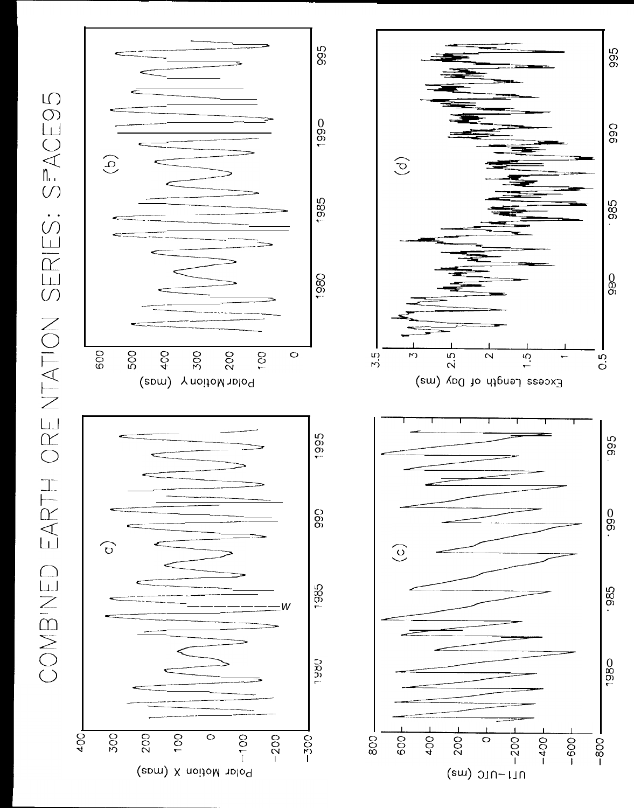



995

**O66** 

985

 $\begin{matrix} 0 \\ 0 \\ 0 \end{matrix}$ 

 $\frac{5}{2}$ 

995

 $990$ .

-985

1980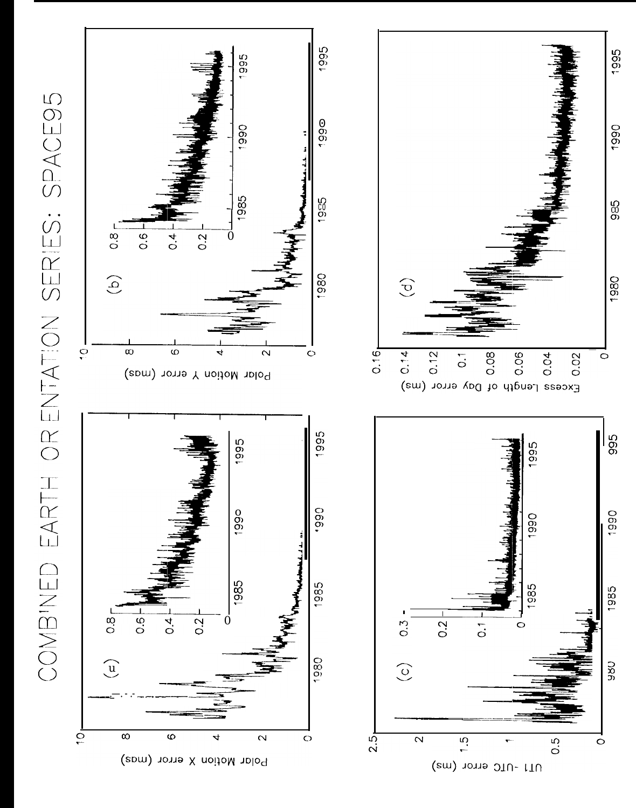